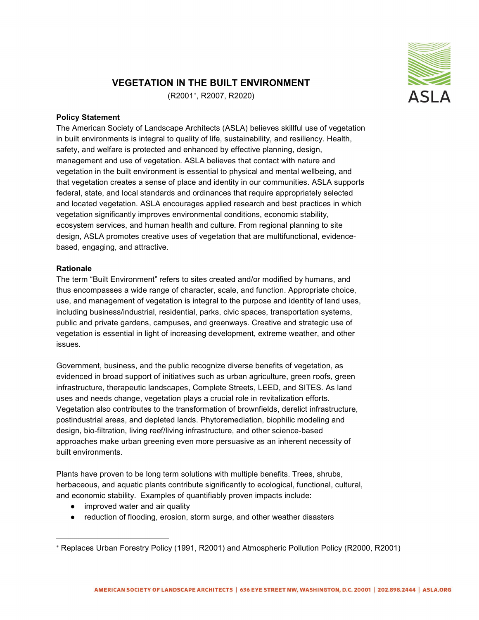## **VEGETATION IN THE BUILT ENVIRONMENT**

(R2001[∗](#page-0-0) , R2007, R2020)

## **Policy Statement**

The American Society of Landscape Architects (ASLA) believes skillful use of vegetation in built environments is integral to quality of life, sustainability, and resiliency. Health, safety, and welfare is protected and enhanced by effective planning, design, management and use of vegetation. ASLA believes that contact with nature and vegetation in the built environment is essential to physical and mental wellbeing, and that vegetation creates a sense of place and identity in our communities. ASLA supports federal, state, and local standards and ordinances that require appropriately selected and located vegetation. ASLA encourages applied research and best practices in which vegetation significantly improves environmental conditions, economic stability, ecosystem services, and human health and culture. From regional planning to site design, ASLA promotes creative uses of vegetation that are multifunctional, evidencebased, engaging, and attractive.

## **Rationale**

The term "Built Environment" refers to sites created and/or modified by humans, and thus encompasses a wide range of character, scale, and function. Appropriate choice, use, and management of vegetation is integral to the purpose and identity of land uses, including business/industrial, residential, parks, civic spaces, transportation systems, public and private gardens, campuses, and greenways. Creative and strategic use of vegetation is essential in light of increasing development, extreme weather, and other issues.

Government, business, and the public recognize diverse benefits of vegetation, as evidenced in broad support of initiatives such as urban agriculture, green roofs, green infrastructure, therapeutic landscapes, Complete Streets, LEED, and SITES. As land uses and needs change, vegetation plays a crucial role in revitalization efforts. Vegetation also contributes to the transformation of brownfields, derelict infrastructure, postindustrial areas, and depleted lands. Phytoremediation, biophilic modeling and design, bio-filtration, living reef/living infrastructure, and other science-based approaches make urban greening even more persuasive as an inherent necessity of built environments.

Plants have proven to be long term solutions with multiple benefits. Trees, shrubs, herbaceous, and aquatic plants contribute significantly to ecological, functional, cultural, and economic stability. Examples of quantifiably proven impacts include:

- improved water and air quality
- reduction of flooding, erosion, storm surge, and other weather disasters

<span id="page-0-0"></span><sup>∗</sup> Replaces Urban Forestry Policy (1991, R2001) and Atmospheric Pollution Policy (R2000, R2001)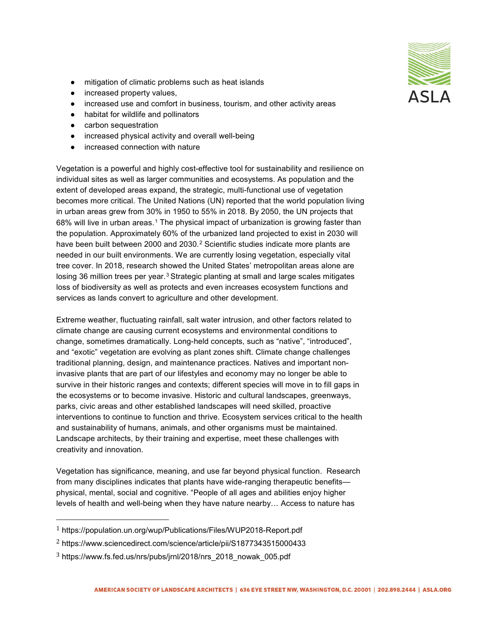- mitigation of climatic problems such as heat islands
- increased property values,
- increased use and comfort in business, tourism, and other activity areas
- habitat for wildlife and pollinators
- carbon sequestration
- increased physical activity and overall well-being
- increased connection with nature

Vegetation is a powerful and highly cost-effective tool for sustainability and resilience on individual sites as well as larger communities and ecosystems. As population and the extent of developed areas expand, the strategic, multi-functional use of vegetation becomes more critical. The United Nations (UN) reported that the world population living in urban areas grew from 30% in 1950 to 55% in 2018. By 2050, the UN projects that 68% will live in urban areas.<sup>[1](#page-1-0)</sup> The physical impact of urbanization is growing faster than the population. Approximately 60% of the urbanized land projected to exist in 2030 will have been built between [2](#page-1-1)000 and 2030.<sup>2</sup> Scientific studies indicate more plants are needed in our built environments. We are currently losing vegetation, especially vital tree cover. In 2018, research showed the United States' metropolitan areas alone are losing [3](#page-1-2)6 million trees per year.<sup>3</sup> Strategic planting at small and large scales mitigates loss of biodiversity as well as protects and even increases ecosystem functions and services as lands convert to agriculture and other development.

Extreme weather, fluctuating rainfall, salt water intrusion, and other factors related to climate change are causing current ecosystems and environmental conditions to change, sometimes dramatically. Long-held concepts, such as "native", "introduced", and "exotic" vegetation are evolving as plant zones shift. Climate change challenges traditional planning, design, and maintenance practices. Natives and important noninvasive plants that are part of our lifestyles and economy may no longer be able to survive in their historic ranges and contexts; different species will move in to fill gaps in the ecosystems or to become invasive. Historic and cultural landscapes, greenways, parks, civic areas and other established landscapes will need skilled, proactive interventions to continue to function and thrive. Ecosystem services critical to the health and sustainability of humans, animals, and other organisms must be maintained. Landscape architects, by their training and expertise, meet these challenges with creativity and innovation.

Vegetation has significance, meaning, and use far beyond physical function. Research from many disciplines indicates that plants have wide-ranging therapeutic benefits physical, mental, social and cognitive. "People of all ages and abilities enjoy higher levels of health and well-being when they have nature nearby… Access to nature has



<span id="page-1-0"></span> <sup>1</sup> https://population.un.org/wup/Publications/Files/WUP2018-Report.pdf

<span id="page-1-1"></span><sup>2</sup> https://www.sciencedirect.com/science/article/pii/S1877343515000433

<span id="page-1-2"></span><sup>3</sup> https://www.fs.fed.us/nrs/pubs/jrnl/2018/nrs\_2018\_nowak\_005.pdf